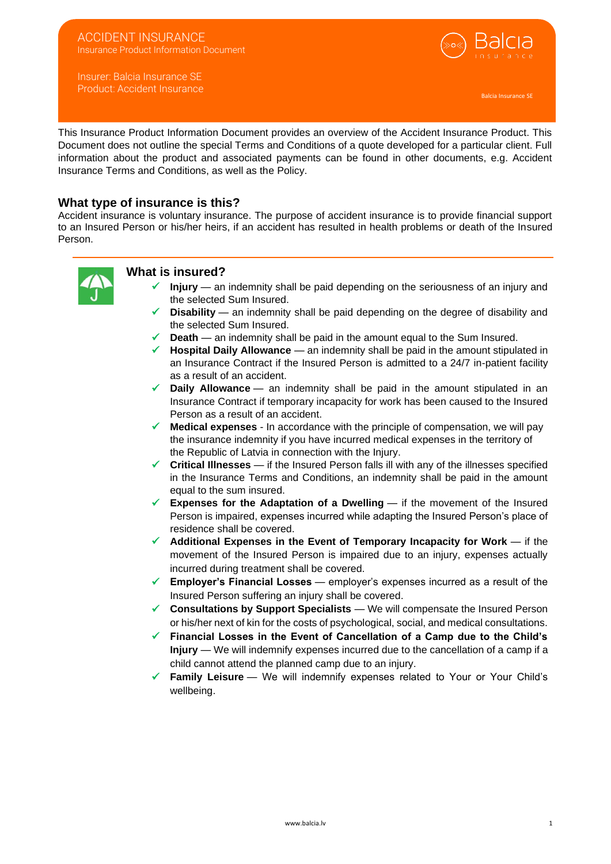#### ACCIDENT INSURANCE Insurance Product Information Document

Insurer: Balcia Insurance SE Product: Accident Insurance



This Insurance Product Information Document provides an overview of the Accident Insurance Product. This Document does not outline the special Terms and Conditions of a quote developed for a particular client. Full information about the product and associated payments can be found in other documents, e.g. Accident Insurance Terms and Conditions, as well as the Policy.

## **What type of insurance is this?**

Accident insurance is voluntary insurance. The purpose of accident insurance is to provide financial support to an Insured Person or his/her heirs, if an accident has resulted in health problems or death of the Insured Person.



### **What is insured?**

- ✓ **Injury** an indemnity shall be paid depending on the seriousness of an injury and the selected Sum Insured.
- **Disability** an indemnity shall be paid depending on the degree of disability and the selected Sum Insured.
- **Death** an indemnity shall be paid in the amount equal to the Sum Insured.
- ✓ **Hospital Daily Allowance** an indemnity shall be paid in the amount stipulated in an Insurance Contract if the Insured Person is admitted to a 24/7 in-patient facility as a result of an accident.
- ✓ **Daily Allowance** an indemnity shall be paid in the amount stipulated in an Insurance Contract if temporary incapacity for work has been caused to the Insured Person as a result of an accident.
- **Medical expenses** In accordance with the principle of compensation, we will pay the insurance indemnity if you have incurred medical expenses in the territory of the Republic of Latvia in connection with the Injury.
- ✓ **Critical Illnesses** if the Insured Person falls ill with any of the illnesses specified in the Insurance Terms and Conditions, an indemnity shall be paid in the amount equal to the sum insured.
- $\checkmark$  **Expenses for the Adaptation of a Dwelling** if the movement of the Insured Person is impaired, expenses incurred while adapting the Insured Person's place of residence shall be covered.
- ✓ **Additional Expenses in the Event of Temporary Incapacity for Work** if the movement of the Insured Person is impaired due to an injury, expenses actually incurred during treatment shall be covered.
- ✓ **Employer's Financial Losses** employer's expenses incurred as a result of the Insured Person suffering an injury shall be covered.
- **Consultations by Support Specialists** We will compensate the Insured Person or his/her next of kin for the costs of psychological, social, and medical consultations.
- ✓ **Financial Losses in the Event of Cancellation of a Camp due to the Child's Injury** — We will indemnify expenses incurred due to the cancellation of a camp if a child cannot attend the planned camp due to an injury.
- Family Leisure We will indemnify expenses related to Your or Your Child's wellbeing.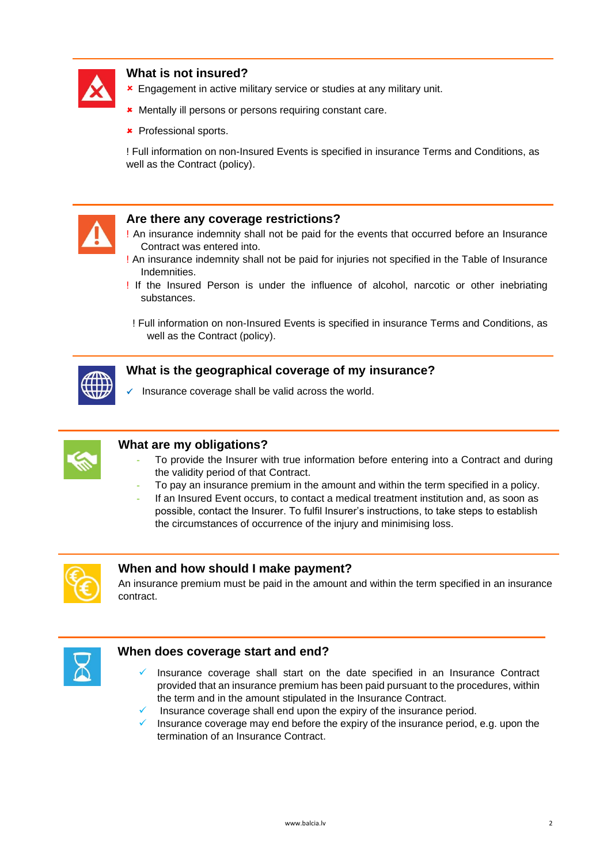

# **What is not insured?**

- **\*** Engagement in active military service or studies at any military unit.
- **\*** Mentally ill persons or persons requiring constant care.
- **\*** Professional sports.

! Full information on non-Insured Events is specified in insurance Terms and Conditions, as well as the Contract (policy).



## **Are there any coverage restrictions?**

- ! An insurance indemnity shall not be paid for the events that occurred before an Insurance Contract was entered into.
- ! An insurance indemnity shall not be paid for injuries not specified in the Table of Insurance Indemnities.
- ! If the Insured Person is under the influence of alcohol, narcotic or other inebriating substances.

! Full information on non-Insured Events is specified in insurance Terms and Conditions, as well as the Contract (policy).



## **What is the geographical coverage of my insurance?**

Insurance coverage shall be valid across the world.



# **What are my obligations?**

- **-** To provide the Insurer with true information before entering into a Contract and during the validity period of that Contract.
- **-** To pay an insurance premium in the amount and within the term specified in a policy.
- **-** If an Insured Event occurs, to contact a medical treatment institution and, as soon as possible, contact the Insurer. To fulfil Insurer's instructions, to take steps to establish the circumstances of occurrence of the injury and minimising loss.



# **When and how should I make payment?**

An insurance premium must be paid in the amount and within the term specified in an insurance contract.



## **When does coverage start and end?**

- Insurance coverage shall start on the date specified in an Insurance Contract provided that an insurance premium has been paid pursuant to the procedures, within the term and in the amount stipulated in the Insurance Contract.
- Insurance coverage shall end upon the expiry of the insurance period.
- Insurance coverage may end before the expiry of the insurance period, e.g. upon the termination of an Insurance Contract.